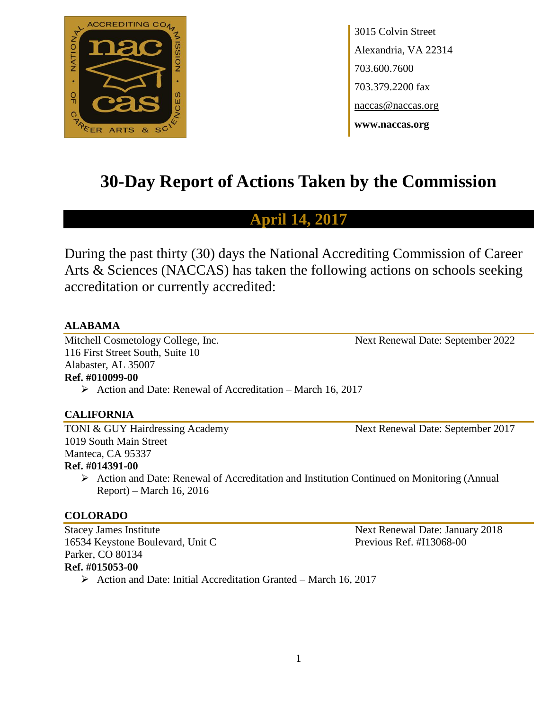

3015 Colvin Street Alexandria, VA 22314 703.600.7600 703.379.2200 fax naccas@naccas.org **www.naccas.org**

# **30-Day Report of Actions Taken by the Commission**

# **April 14, 2017**

During the past thirty (30) days the National Accrediting Commission of Career Arts & Sciences (NACCAS) has taken the following actions on schools seeking accreditation or currently accredited:

## **ALABAMA**

Mitchell Cosmetology College, Inc. Next Renewal Date: September 2022 116 First Street South, Suite 10 Alabaster, AL 35007 **Ref. #010099-00**

 $\triangleright$  Action and Date: Renewal of Accreditation – March 16, 2017

#### **CALIFORNIA**

TONI & GUY Hairdressing Academy Next Renewal Date: September 2017 1019 South Main Street Manteca, CA 95337

#### **Ref. #014391-00**

 Action and Date: Renewal of Accreditation and Institution Continued on Monitoring (Annual Report) – March 16, 2016

#### **COLORADO**

Stacey James Institute Next Renewal Date: January 2018 16534 Keystone Boulevard, Unit C<br>Previous Ref. #I13068-00 Parker, CO 80134 **Ref. #015053-00**

 $\triangleright$  Action and Date: Initial Accreditation Granted – March 16, 2017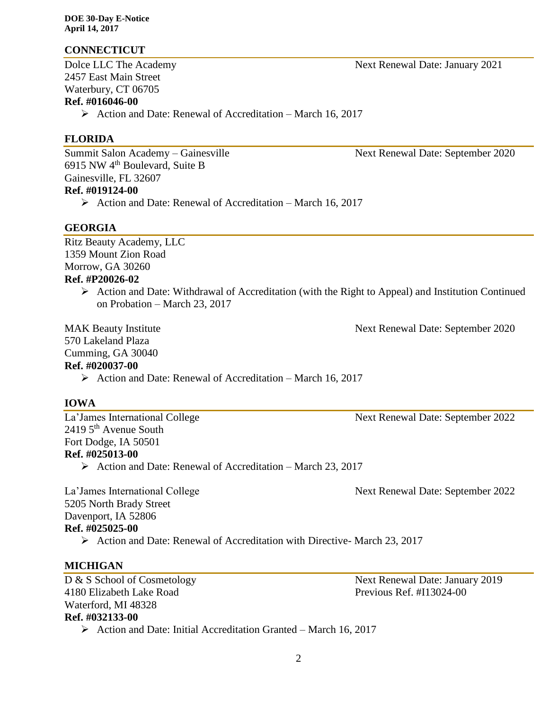## **CONNECTICUT**

2457 East Main Street Waterbury, CT 06705

# **Ref. #016046-00**

 $\triangleright$  Action and Date: Renewal of Accreditation – March 16, 2017

## **FLORIDA**

Summit Salon Academy – Gainesville Next Renewal Date: September 2020 6915 NW 4th Boulevard, Suite B Gainesville, FL 32607

## **Ref. #019124-00**

 $\triangleright$  Action and Date: Renewal of Accreditation – March 16, 2017

#### **GEORGIA**

Ritz Beauty Academy, LLC 1359 Mount Zion Road Morrow, GA 30260 **Ref. #P20026-02**

> $\triangleright$  Action and Date: Withdrawal of Accreditation (with the Right to Appeal) and Institution Continued on Probation – March 23, 2017

570 Lakeland Plaza

Cumming, GA 30040

#### **Ref. #020037-00**

 $\triangleright$  Action and Date: Renewal of Accreditation – March 16, 2017

#### **IOWA**

La'James International College Next Renewal Date: September 2022  $2419$  5<sup>th</sup> Avenue South Fort Dodge, IA 50501 **Ref. #025013-00**

 $\triangleright$  Action and Date: Renewal of Accreditation – March 23, 2017

La'James International College Next Renewal Date: September 2022 5205 North Brady Street Davenport, IA 52806 **Ref. #025025-00**

Action and Date: Renewal of Accreditation with Directive- March 23, 2017

## **MICHIGAN**

4180 Elizabeth Lake Road Previous Ref. #I13024-00 Waterford, MI 48328 **Ref. #032133-00**

D & S School of Cosmetology Next Renewal Date: January 2019

 $\triangleright$  Action and Date: Initial Accreditation Granted – March 16, 2017

MAK Beauty Institute Next Renewal Date: September 2020

Dolce LLC The Academy Next Renewal Date: January 2021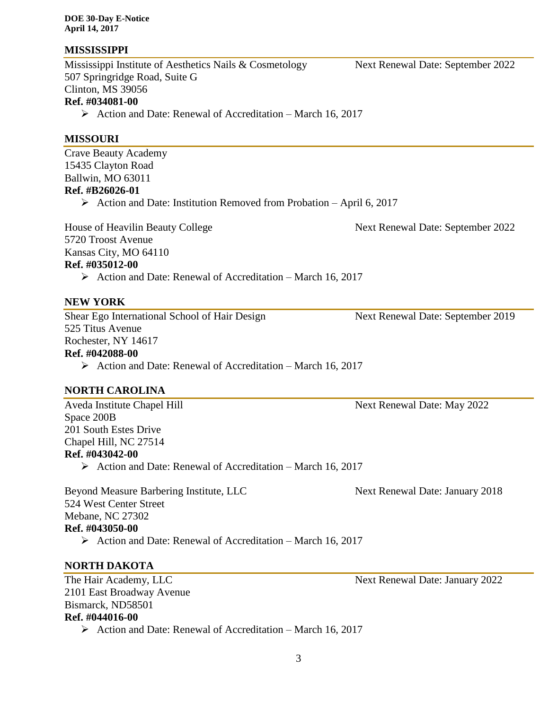**DOE 30-Day E-Notice April 14, 2017**

## **MISSISSIPPI**

Mississippi Institute of Aesthetics Nails & Cosmetology Next Renewal Date: September 2022 507 Springridge Road, Suite G Clinton, MS 39056

## **Ref. #034081-00**

 $\triangleright$  Action and Date: Renewal of Accreditation – March 16, 2017

## **MISSOURI**

Crave Beauty Academy 15435 Clayton Road Ballwin, MO 63011 **Ref. #B26026-01**  $\triangleright$  Action and Date: Institution Removed from Probation – April 6, 2017

House of Heavilin Beauty College Next Renewal Date: September 2022

5720 Troost Avenue Kansas City, MO 64110

## **Ref. #035012-00**

 $\triangleright$  Action and Date: Renewal of Accreditation – March 16, 2017

## **NEW YORK**

Shear Ego International School of Hair Design Next Renewal Date: September 2019 525 Titus Avenue Rochester, NY 14617

**Ref. #042088-00**

 $\triangleright$  Action and Date: Renewal of Accreditation – March 16, 2017

## **NORTH CAROLINA**

Aveda Institute Chapel Hill Next Renewal Date: May 2022 Space 200B 201 South Estes Drive Chapel Hill, NC 27514 **Ref. #043042-00**

 $\triangleright$  Action and Date: Renewal of Accreditation – March 16, 2017

Beyond Measure Barbering Institute, LLC Next Renewal Date: January 2018 524 West Center Street Mebane, NC 27302 **Ref. #043050-00**  $\triangleright$  Action and Date: Renewal of Accreditation – March 16, 2017

## **NORTH DAKOTA**

The Hair Academy, LLC Next Renewal Date: January 2022 2101 East Broadway Avenue Bismarck, ND58501 **Ref. #044016-00**  $\triangleright$  Action and Date: Renewal of Accreditation – March 16, 2017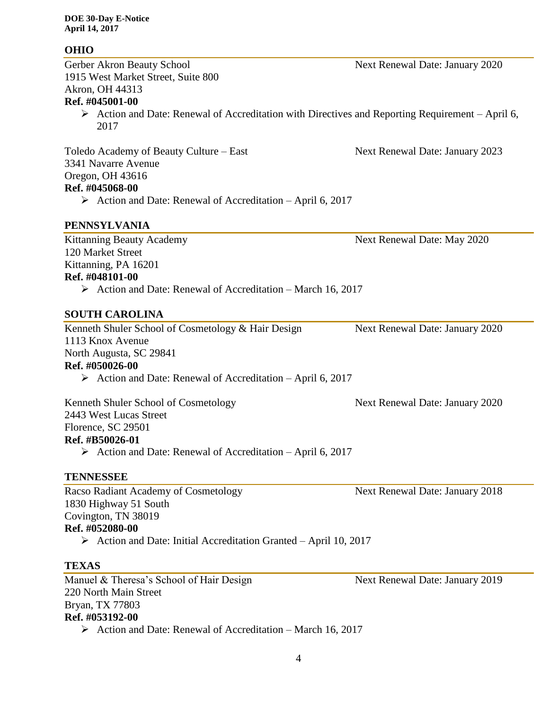## **OHIO**

1915 West Market Street, Suite 800 Akron, OH 44313 **Ref. #045001-00**

> $\triangleright$  Action and Date: Renewal of Accreditation with Directives and Reporting Requirement – April 6, 2017

Toledo Academy of Beauty Culture – East Next Renewal Date: January 2023 3341 Navarre Avenue Oregon, OH 43616 **Ref. #045068-00**

 $\triangleright$  Action and Date: Renewal of Accreditation – April 6, 2017

## **PENNSYLVANIA**

Kittanning Beauty Academy **Next Renewal Date: May 2020** 120 Market Street Kittanning, PA 16201 **Ref. #048101-00**

 $\triangleright$  Action and Date: Renewal of Accreditation – March 16, 2017

## **SOUTH CAROLINA**

Kenneth Shuler School of Cosmetology & Hair Design Next Renewal Date: January 2020 1113 Knox Avenue North Augusta, SC 29841 **Ref. #050026-00**  $\triangleright$  Action and Date: Renewal of Accreditation – April 6, 2017

Kenneth Shuler School of Cosmetology Next Renewal Date: January 2020 2443 West Lucas Street Florence, SC 29501 **Ref. #B50026-01**  $\triangleright$  Action and Date: Renewal of Accreditation – April 6, 2017

#### **TENNESSEE**

Racso Radiant Academy of Cosmetology Next Renewal Date: January 2018 1830 Highway 51 South Covington, TN 38019 **Ref. #052080-00**  $\triangleright$  Action and Date: Initial Accreditation Granted – April 10, 2017

#### **TEXAS**

Manuel & Theresa's School of Hair Design Next Renewal Date: January 2019 220 North Main Street Bryan, TX 77803 **Ref. #053192-00**  $\triangleright$  Action and Date: Renewal of Accreditation – March 16, 2017

Gerber Akron Beauty School Next Renewal Date: January 2020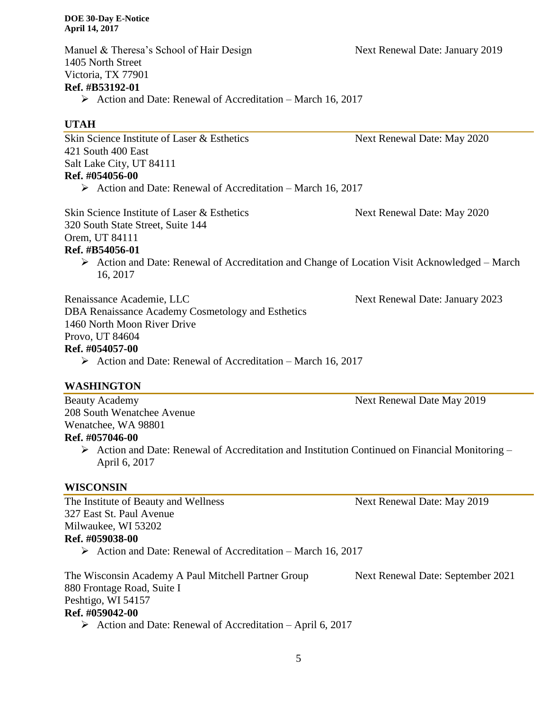Manuel & Theresa's School of Hair Design Next Renewal Date: January 2019 1405 North Street Victoria, TX 77901 **Ref. #B53192-01**

 $\triangleright$  Action and Date: Renewal of Accreditation – March 16, 2017

## **UTAH**

Skin Science Institute of Laser & Esthetics Next Renewal Date: May 2020 421 South 400 East Salt Lake City, UT 84111 **Ref. #054056-00**

 $\triangleright$  Action and Date: Renewal of Accreditation – March 16, 2017

Skin Science Institute of Laser & Esthetics Next Renewal Date: May 2020 320 South State Street, Suite 144 Orem, UT 84111

#### **Ref. #B54056-01**

 Action and Date: Renewal of Accreditation and Change of Location Visit Acknowledged – March 16, 2017

Renaissance Academie, LLC Next Renewal Date: January 2023

DBA Renaissance Academy Cosmetology and Esthetics 1460 North Moon River Drive Provo, UT 84604

## **Ref. #054057-00**

 $\triangleright$  Action and Date: Renewal of Accreditation – March 16, 2017

## **WASHINGTON**

Beauty Academy Next Renewal Date May 2019 208 South Wenatchee Avenue Wenatchee, WA 98801

#### **Ref. #057046-00**

 $\triangleright$  Action and Date: Renewal of Accreditation and Institution Continued on Financial Monitoring – April 6, 2017

## **WISCONSIN**

The Institute of Beauty and Wellness Next Renewal Date: May 2019 327 East St. Paul Avenue Milwaukee, WI 53202 **Ref. #059038-00**

 $\triangleright$  Action and Date: Renewal of Accreditation – March 16, 2017

The Wisconsin Academy A Paul Mitchell Partner Group Next Renewal Date: September 2021 880 Frontage Road, Suite I Peshtigo, WI 54157 **Ref. #059042-00**

 $\triangleright$  Action and Date: Renewal of Accreditation – April 6, 2017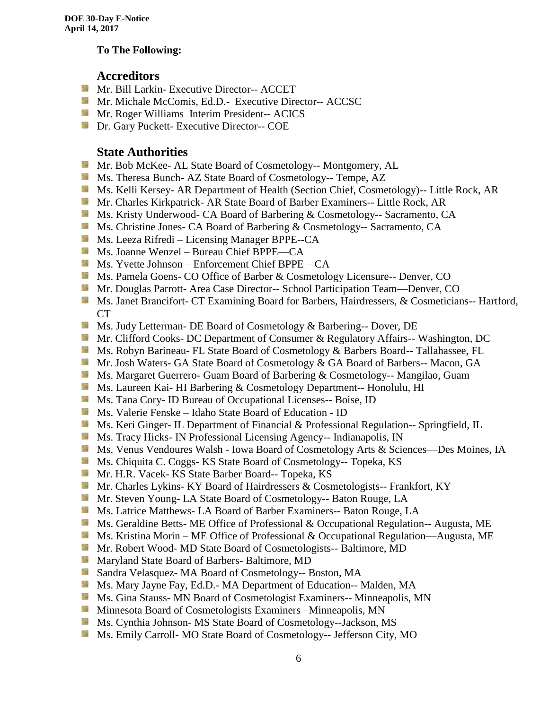## **To The Following:**

## **Accreditors**

- **Mr. Bill Larkin- Executive Director-- ACCET**
- **Mr. Michale McComis, Ed.D.** Executive Director-- ACCSC
- **Mr. Roger Williams Interim President-- ACICS**
- **Dr.** Gary Puckett- Executive Director-- COE

## **State Authorities**

- Mr. Bob McKee- AL State Board of Cosmetology-- Montgomery, AL
- Ms. Theresa Bunch- AZ State Board of Cosmetology-- Tempe, AZ
- Ms. Kelli Kersey- AR Department of Health (Section Chief, Cosmetology)-- Little Rock, AR
- **Mr. Charles Kirkpatrick- AR State Board of Barber Examiners-- Little Rock, AR**
- Ms. Kristy Underwood- CA Board of Barbering & Cosmetology-- Sacramento, CA
- **Ms.** Christine Jones- CA Board of Barbering & Cosmetology-- Sacramento, CA
- **Ms. Leeza Rifredi** Licensing Manager BPPE--CA
- Ms. Joanne Wenzel Bureau Chief BPPE—CA
- Ms. Yvette Johnson Enforcement Chief BPPE CA
- Ms. Pamela Goens- CO Office of Barber & Cosmetology Licensure-- Denver, CO
- **Mr. Douglas Parrott- Area Case Director-- School Participation Team—Denver, CO**
- Ms. Janet Brancifort- CT Examining Board for Barbers, Hairdressers, & Cosmeticians-- Hartford, CT
- Ms. Judy Letterman- DE Board of Cosmetology & Barbering-- Dover, DE
- Mr. Clifford Cooks- DC Department of Consumer & Regulatory Affairs-- Washington, DC
- Ms. Robyn Barineau- FL State Board of Cosmetology & Barbers Board-- Tallahassee, FL
- **Mr. Josh Waters- GA State Board of Cosmetology & GA Board of Barbers-- Macon, GA**
- **MS. Margaret Guerrero- Guam Board of Barbering & Cosmetology-- Mangilao, Guam**
- **Ms. Laureen Kai- HI Barbering & Cosmetology Department-- Honolulu, HI**
- **Ms.** Tana Cory- ID Bureau of Occupational Licenses-- Boise, ID
- Ms. Valerie Fenske Idaho State Board of Education ID
- **Ms. Keri Ginger- IL Department of Financial & Professional Regulation-- Springfield, IL**
- **Ms.** Tracy Hicks- IN Professional Licensing Agency-- Indianapolis, IN
- Ms. Venus Vendoures Walsh Iowa Board of Cosmetology Arts & Sciences—Des Moines, IA
- Ms. Chiquita C. Coggs- KS State Board of Cosmetology-- Topeka, KS
- Mr. H.R. Vacek- KS State Barber Board-- Topeka, KS
- **Mr. Charles Lykins- KY Board of Hairdressers & Cosmetologists-- Frankfort, KY**
- Mr. Steven Young- LA State Board of Cosmetology-- Baton Rouge, LA
- **Ms. Latrice Matthews- LA Board of Barber Examiners-- Baton Rouge, LA**
- Ms. Geraldine Betts- ME Office of Professional & Occupational Regulation-- Augusta, ME
- Ms. Kristina Morin ME Office of Professional & Occupational Regulation—Augusta, ME
- Mr. Robert Wood- MD State Board of Cosmetologists-- Baltimore, MD
- **Maryland State Board of Barbers- Baltimore, MD**
- Sandra Velasquez- MA Board of Cosmetology-- Boston, MA
- Ms. Mary Jayne Fay, Ed.D.- MA Department of Education-- Malden, MA
- **MS.** Gina Stauss- MN Board of Cosmetologist Examiners-- Minneapolis, MN
- **M** Minnesota Board of Cosmetologists Examiners –Minneapolis, MN
- Ms. Cynthia Johnson- MS State Board of Cosmetology--Jackson, MS
- Ms. Emily Carroll- MO State Board of Cosmetology-- Jefferson City, MO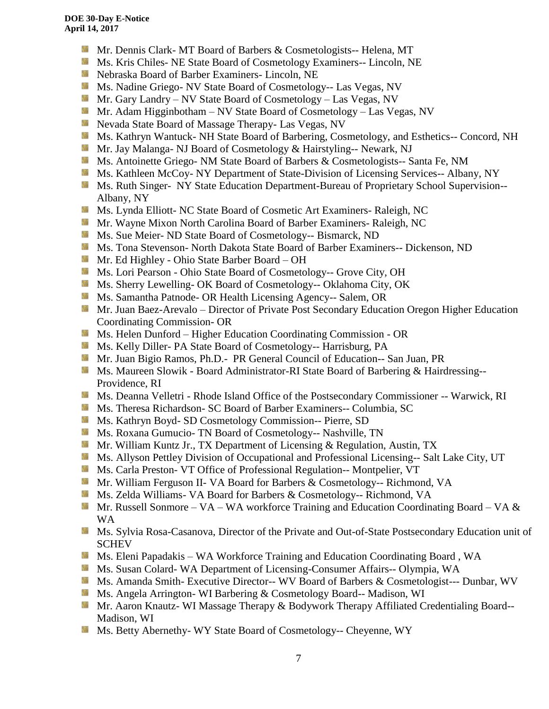- Mr. Dennis Clark- MT Board of Barbers & Cosmetologists-- Helena, MT
- Ms. Kris Chiles- NE State Board of Cosmetology Examiners-- Lincoln, NE
- Nebraska Board of Barber Examiners- Lincoln, NE
- Ms. Nadine Griego- NV State Board of Cosmetology-- Las Vegas, NV
- Mr. Gary Landry NV State Board of Cosmetology Las Vegas, NV
- **Mr.** Adam Higginbotham NV State Board of Cosmetology Las Vegas, NV
- Nevada State Board of Massage Therapy- Las Vegas, NV
- **Ms. Kathryn Wantuck- NH State Board of Barbering, Cosmetology, and Esthetics-- Concord, NH**
- Mr. Jay Malanga- NJ Board of Cosmetology & Hairstyling-- Newark, NJ
- **Ms.** Antoinette Griego- NM State Board of Barbers & Cosmetologists-- Santa Fe, NM
- **Ms. Kathleen McCoy- NY Department of State-Division of Licensing Services-- Albany, NY**
- **Ms. Ruth Singer- NY State Education Department-Bureau of Proprietary School Supervision--**Albany, NY
- Ms. Lynda Elliott- NC State Board of Cosmetic Art Examiners- Raleigh, NC
- Mr. Wayne Mixon North Carolina Board of Barber Examiners- Raleigh, NC
- **MS.** Sue Meier- ND State Board of Cosmetology-- Bismarck, ND
- **MS.** Tona Stevenson- North Dakota State Board of Barber Examiners-- Dickenson, ND
- Mr. Ed Highley Ohio State Barber Board OH
- Ms. Lori Pearson Ohio State Board of Cosmetology-- Grove City, OH
- Ms. Sherry Lewelling- OK Board of Cosmetology-- Oklahoma City, OK
- **Ms. Samantha Patnode- OR Health Licensing Agency-- Salem, OR**
- Mr. Juan Baez-Arevalo Director of Private Post Secondary Education Oregon Higher Education Coordinating Commission- OR
- **MS.** Helen Dunford Higher Education Coordinating Commission OR
- **Ms. Kelly Diller- PA State Board of Cosmetology-- Harrisburg, PA**
- **Mr. Juan Bigio Ramos, Ph.D.- PR General Council of Education-- San Juan, PR**
- Ms. Maureen Slowik Board Administrator-RI State Board of Barbering & Hairdressing--Providence, RI
- **Ms. Deanna Velletri Rhode Island Office of the Postsecondary Commissioner -- Warwick, RI**
- Ms. Theresa Richardson- SC Board of Barber Examiners-- Columbia, SC
- Ms. Kathryn Boyd- SD Cosmetology Commission-- Pierre, SD
- Ms. Roxana Gumucio- TN Board of Cosmetology-- Nashville, TN
- **Mr. William Kuntz Jr., TX Department of Licensing & Regulation, Austin, TX**
- Ms. Allyson Pettley Division of Occupational and Professional Licensing-- Salt Lake City, UT
- Ms. Carla Preston- VT Office of Professional Regulation-- Montpelier, VT
- Mr. William Ferguson II- VA Board for Barbers & Cosmetology-- Richmond, VA
- Ms. Zelda Williams- VA Board for Barbers & Cosmetology-- Richmond, VA
- Mr. Russell Sonmore VA WA workforce Training and Education Coordinating Board VA  $\&$ WA
- Ms. Sylvia Rosa-Casanova, Director of the Private and Out-of-State Postsecondary Education unit of SCHEV
- Ms. Eleni Papadakis WA Workforce Training and Education Coordinating Board, WA
- **Ms. Susan Colard- WA Department of Licensing-Consumer Affairs-- Olympia, WA**
- **Ms.** Amanda Smith- Executive Director-- WV Board of Barbers & Cosmetologist--- Dunbar, WV
- **Ms. Angela Arrington- WI Barbering & Cosmetology Board-- Madison, WI**
- Mr. Aaron Knautz- WI Massage Therapy & Bodywork Therapy Affiliated Credentialing Board--Madison, WI
- **Ms. Betty Abernethy- WY State Board of Cosmetology-- Cheyenne, WY**